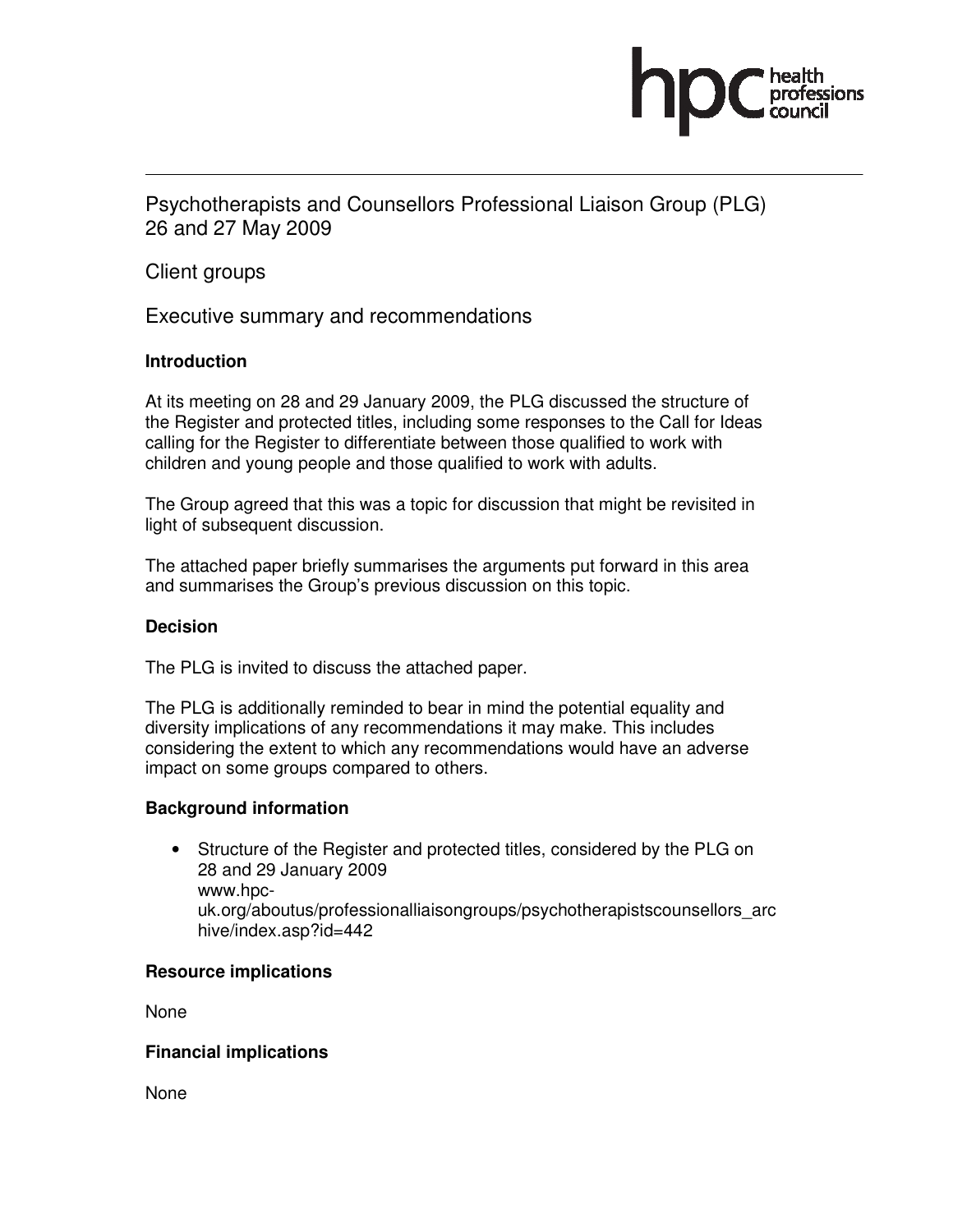

Psychotherapists and Counsellors Professional Liaison Group (PLG) 26 and 27 May 2009

Client groups

Executive summary and recommendations

#### **Introduction**

At its meeting on 28 and 29 January 2009, the PLG discussed the structure of the Register and protected titles, including some responses to the Call for Ideas calling for the Register to differentiate between those qualified to work with children and young people and those qualified to work with adults.

The Group agreed that this was a topic for discussion that might be revisited in light of subsequent discussion.

The attached paper briefly summarises the arguments put forward in this area and summarises the Group's previous discussion on this topic.

#### **Decision**

The PLG is invited to discuss the attached paper.

The PLG is additionally reminded to bear in mind the potential equality and diversity implications of any recommendations it may make. This includes considering the extent to which any recommendations would have an adverse impact on some groups compared to others.

#### **Background information**

• Structure of the Register and protected titles, considered by the PLG on 28 and 29 January 2009 www.hpcuk.org/aboutus/professionalliaisongroups/psychotherapistscounsellors\_arc hive/index.asp?id=442

#### **Resource implications**

None

#### **Financial implications**

None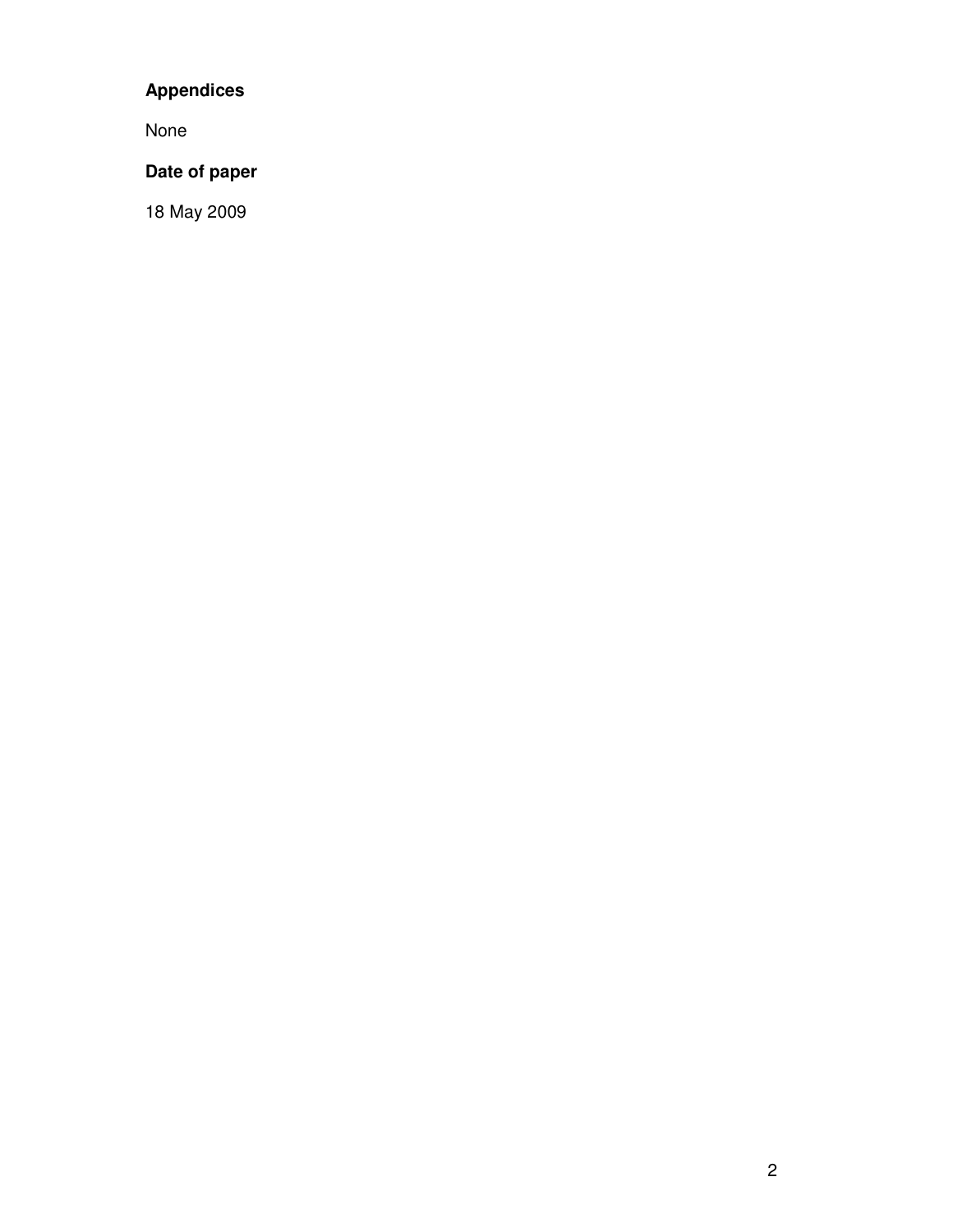# **Appendices**

None

# **Date of paper**

18 May 2009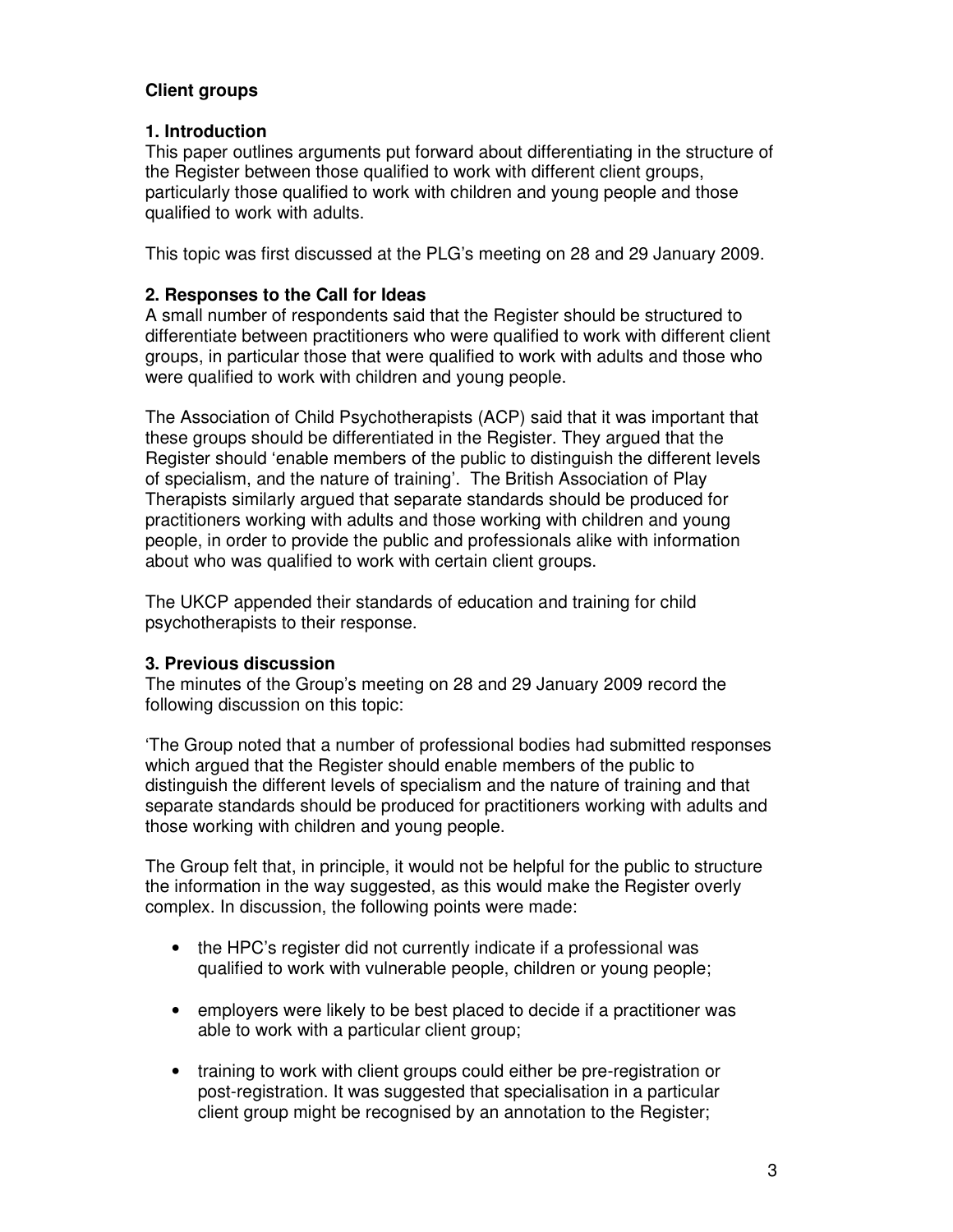# **Client groups**

## **1. Introduction**

This paper outlines arguments put forward about differentiating in the structure of the Register between those qualified to work with different client groups, particularly those qualified to work with children and young people and those qualified to work with adults.

This topic was first discussed at the PLG's meeting on 28 and 29 January 2009.

## **2. Responses to the Call for Ideas**

A small number of respondents said that the Register should be structured to differentiate between practitioners who were qualified to work with different client groups, in particular those that were qualified to work with adults and those who were qualified to work with children and young people.

The Association of Child Psychotherapists (ACP) said that it was important that these groups should be differentiated in the Register. They argued that the Register should 'enable members of the public to distinguish the different levels of specialism, and the nature of training'. The British Association of Play Therapists similarly argued that separate standards should be produced for practitioners working with adults and those working with children and young people, in order to provide the public and professionals alike with information about who was qualified to work with certain client groups.

The UKCP appended their standards of education and training for child psychotherapists to their response.

# **3. Previous discussion**

The minutes of the Group's meeting on 28 and 29 January 2009 record the following discussion on this topic:

'The Group noted that a number of professional bodies had submitted responses which argued that the Register should enable members of the public to distinguish the different levels of specialism and the nature of training and that separate standards should be produced for practitioners working with adults and those working with children and young people.

The Group felt that, in principle, it would not be helpful for the public to structure the information in the way suggested, as this would make the Register overly complex. In discussion, the following points were made:

- the HPC's register did not currently indicate if a professional was qualified to work with vulnerable people, children or young people;
- employers were likely to be best placed to decide if a practitioner was able to work with a particular client group;
- training to work with client groups could either be pre-registration or post-registration. It was suggested that specialisation in a particular client group might be recognised by an annotation to the Register;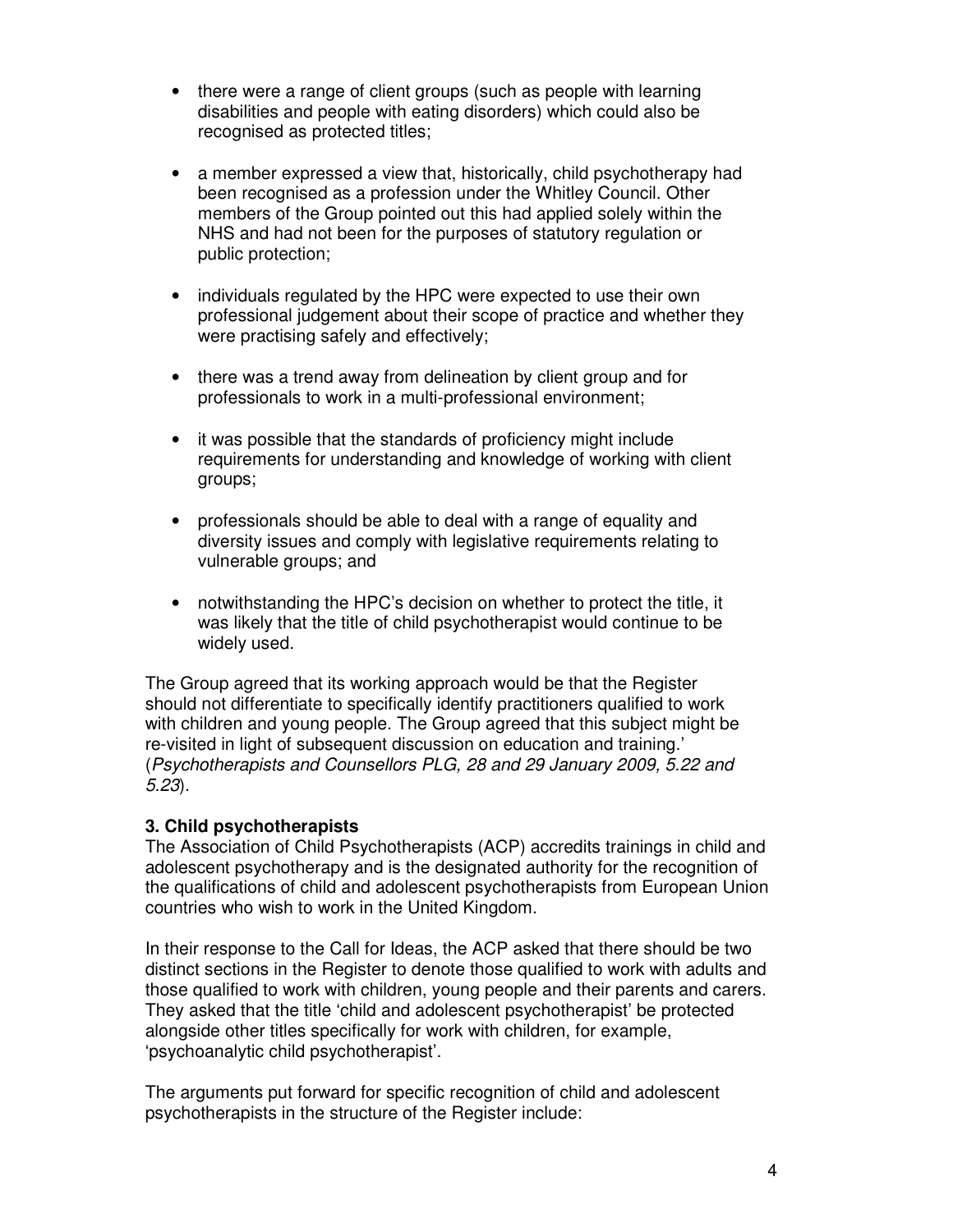- there were a range of client groups (such as people with learning disabilities and people with eating disorders) which could also be recognised as protected titles;
- a member expressed a view that, historically, child psychotherapy had been recognised as a profession under the Whitley Council. Other members of the Group pointed out this had applied solely within the NHS and had not been for the purposes of statutory regulation or public protection;
- individuals regulated by the HPC were expected to use their own professional judgement about their scope of practice and whether they were practising safely and effectively;
- there was a trend away from delineation by client group and for professionals to work in a multi-professional environment;
- it was possible that the standards of proficiency might include requirements for understanding and knowledge of working with client groups;
- professionals should be able to deal with a range of equality and diversity issues and comply with legislative requirements relating to vulnerable groups; and
- notwithstanding the HPC's decision on whether to protect the title, it was likely that the title of child psychotherapist would continue to be widely used.

The Group agreed that its working approach would be that the Register should not differentiate to specifically identify practitioners qualified to work with children and young people. The Group agreed that this subject might be re-visited in light of subsequent discussion on education and training.' (Psychotherapists and Counsellors PLG, 28 and 29 January 2009, 5.22 and 5.23).

#### **3. Child psychotherapists**

The Association of Child Psychotherapists (ACP) accredits trainings in child and adolescent psychotherapy and is the designated authority for the recognition of the qualifications of child and adolescent psychotherapists from European Union countries who wish to work in the United Kingdom.

In their response to the Call for Ideas, the ACP asked that there should be two distinct sections in the Register to denote those qualified to work with adults and those qualified to work with children, young people and their parents and carers. They asked that the title 'child and adolescent psychotherapist' be protected alongside other titles specifically for work with children, for example, 'psychoanalytic child psychotherapist'.

The arguments put forward for specific recognition of child and adolescent psychotherapists in the structure of the Register include: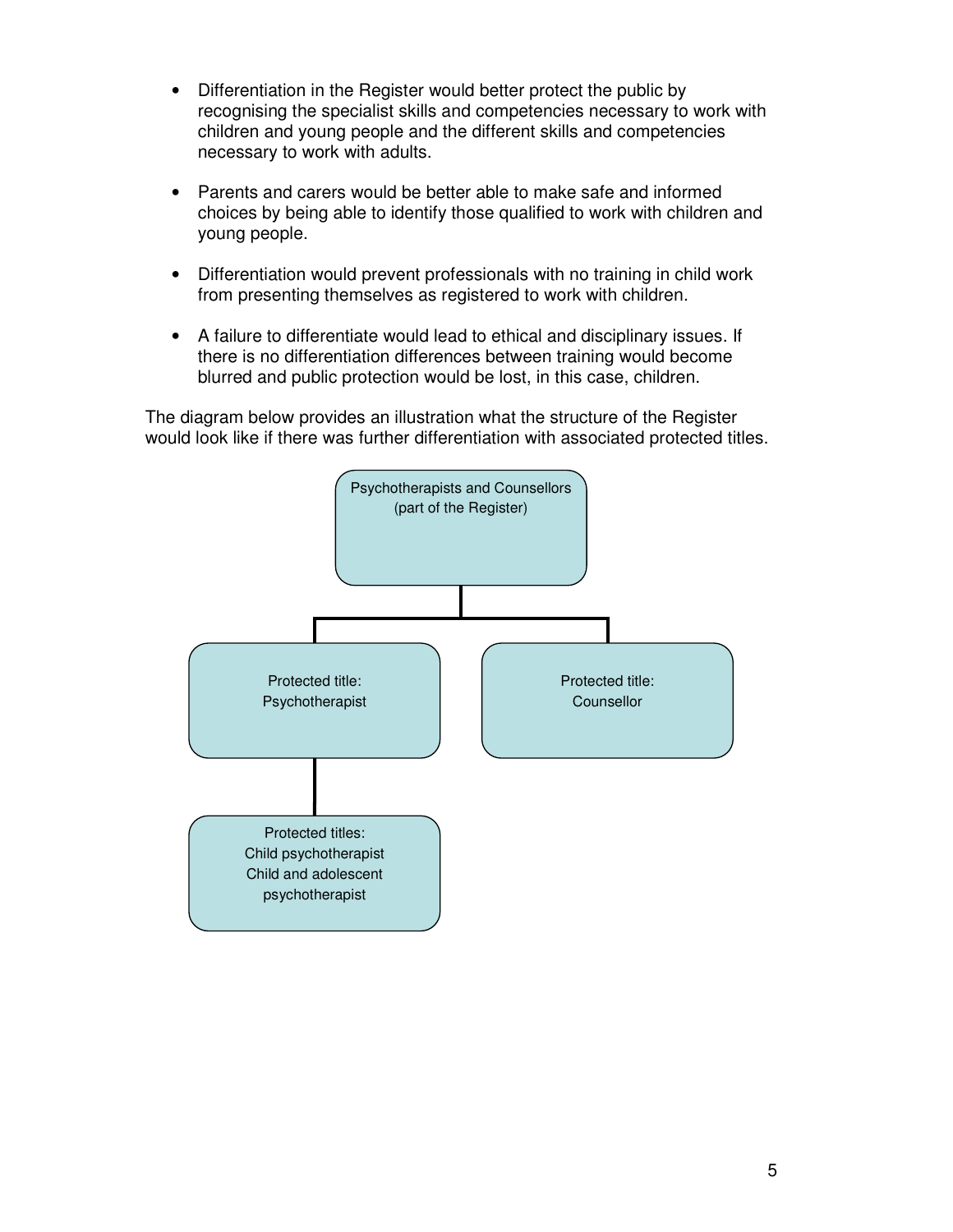- Differentiation in the Register would better protect the public by recognising the specialist skills and competencies necessary to work with children and young people and the different skills and competencies necessary to work with adults.
- Parents and carers would be better able to make safe and informed choices by being able to identify those qualified to work with children and young people.
- Differentiation would prevent professionals with no training in child work from presenting themselves as registered to work with children.
- A failure to differentiate would lead to ethical and disciplinary issues. If there is no differentiation differences between training would become blurred and public protection would be lost, in this case, children.

The diagram below provides an illustration what the structure of the Register would look like if there was further differentiation with associated protected titles.

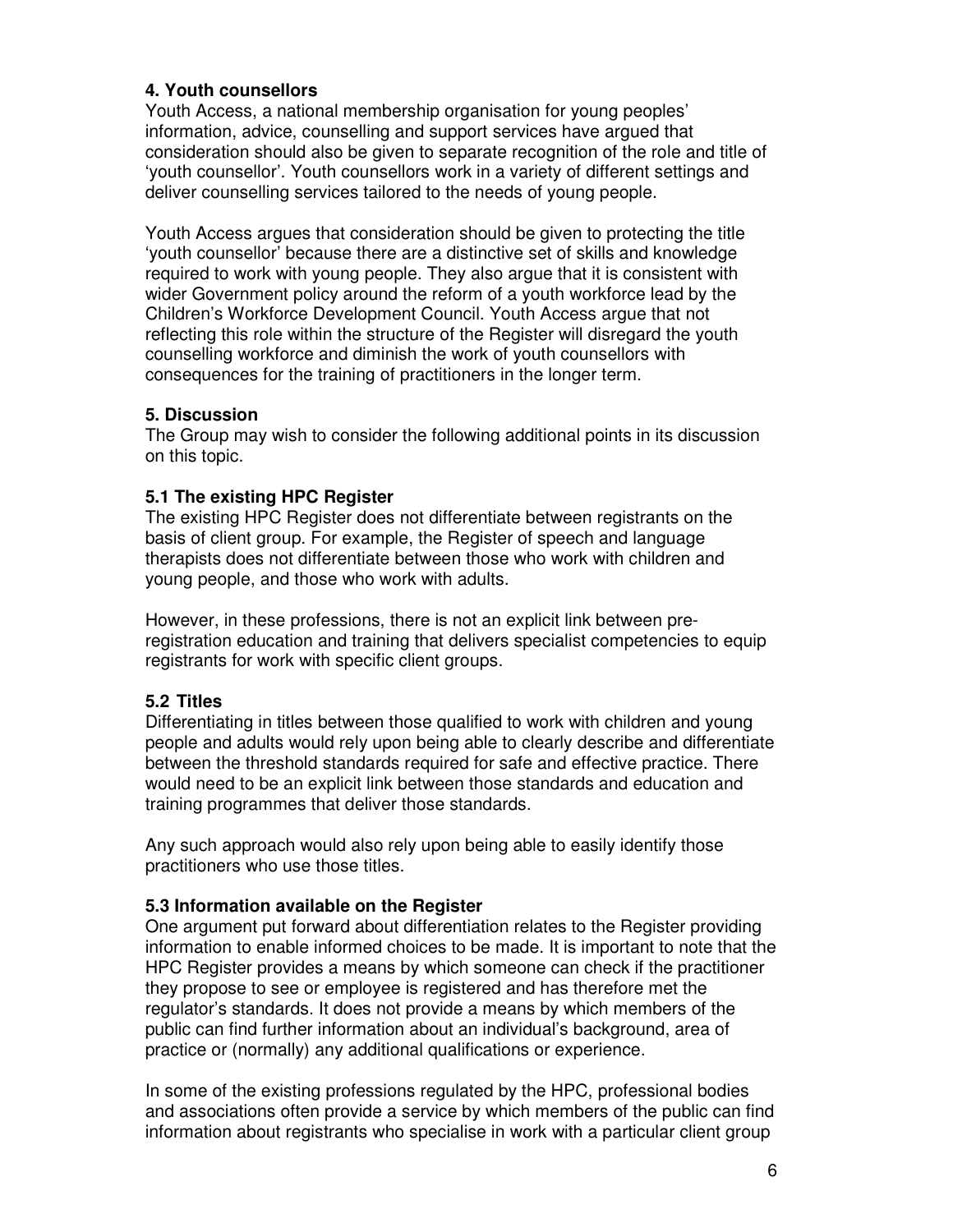## **4. Youth counsellors**

Youth Access, a national membership organisation for young peoples' information, advice, counselling and support services have argued that consideration should also be given to separate recognition of the role and title of 'youth counsellor'. Youth counsellors work in a variety of different settings and deliver counselling services tailored to the needs of young people.

Youth Access argues that consideration should be given to protecting the title 'youth counsellor' because there are a distinctive set of skills and knowledge required to work with young people. They also argue that it is consistent with wider Government policy around the reform of a youth workforce lead by the Children's Workforce Development Council. Youth Access argue that not reflecting this role within the structure of the Register will disregard the youth counselling workforce and diminish the work of youth counsellors with consequences for the training of practitioners in the longer term.

#### **5. Discussion**

The Group may wish to consider the following additional points in its discussion on this topic.

#### **5.1 The existing HPC Register**

The existing HPC Register does not differentiate between registrants on the basis of client group. For example, the Register of speech and language therapists does not differentiate between those who work with children and young people, and those who work with adults.

However, in these professions, there is not an explicit link between preregistration education and training that delivers specialist competencies to equip registrants for work with specific client groups.

# **5.2 Titles**

Differentiating in titles between those qualified to work with children and young people and adults would rely upon being able to clearly describe and differentiate between the threshold standards required for safe and effective practice. There would need to be an explicit link between those standards and education and training programmes that deliver those standards.

Any such approach would also rely upon being able to easily identify those practitioners who use those titles.

# **5.3 Information available on the Register**

One argument put forward about differentiation relates to the Register providing information to enable informed choices to be made. It is important to note that the HPC Register provides a means by which someone can check if the practitioner they propose to see or employee is registered and has therefore met the regulator's standards. It does not provide a means by which members of the public can find further information about an individual's background, area of practice or (normally) any additional qualifications or experience.

In some of the existing professions regulated by the HPC, professional bodies and associations often provide a service by which members of the public can find information about registrants who specialise in work with a particular client group